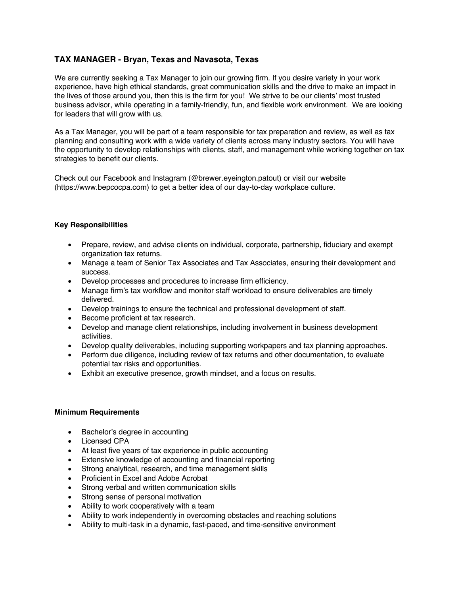# **TAX MANAGER - Bryan, Texas and Navasota, Texas**

We are currently seeking a Tax Manager to join our growing firm. If you desire variety in your work experience, have high ethical standards, great communication skills and the drive to make an impact in the lives of those around you, then this is the firm for you! We strive to be our clients' most trusted business advisor, while operating in a family-friendly, fun, and flexible work environment. We are looking for leaders that will grow with us.

As a Tax Manager, you will be part of a team responsible for tax preparation and review, as well as tax planning and consulting work with a wide variety of clients across many industry sectors. You will have the opportunity to develop relationships with clients, staff, and management while working together on tax strategies to benefit our clients.

Check out our Facebook and Instagram (@brewer.eyeington.patout) or visit our website (https://www.bepcocpa.com) to get a better idea of our day-to-day workplace culture.

### **Key Responsibilities**

- Prepare, review, and advise clients on individual, corporate, partnership, fiduciary and exempt organization tax returns.
- Manage a team of Senior Tax Associates and Tax Associates, ensuring their development and success.
- Develop processes and procedures to increase firm efficiency.
- Manage firm's tax workflow and monitor staff workload to ensure deliverables are timely delivered.
- Develop trainings to ensure the technical and professional development of staff.
- Become proficient at tax research.
- Develop and manage client relationships, including involvement in business development activities.
- Develop quality deliverables, including supporting workpapers and tax planning approaches.
- Perform due diligence, including review of tax returns and other documentation, to evaluate potential tax risks and opportunities.
- Exhibit an executive presence, growth mindset, and a focus on results.

#### **Minimum Requirements**

- Bachelor's degree in accounting
- Licensed CPA
- At least five years of tax experience in public accounting
- Extensive knowledge of accounting and financial reporting
- Strong analytical, research, and time management skills
- Proficient in Excel and Adobe Acrobat
- Strong verbal and written communication skills
- Strong sense of personal motivation
- Ability to work cooperatively with a team
- Ability to work independently in overcoming obstacles and reaching solutions
- Ability to multi-task in a dynamic, fast-paced, and time-sensitive environment